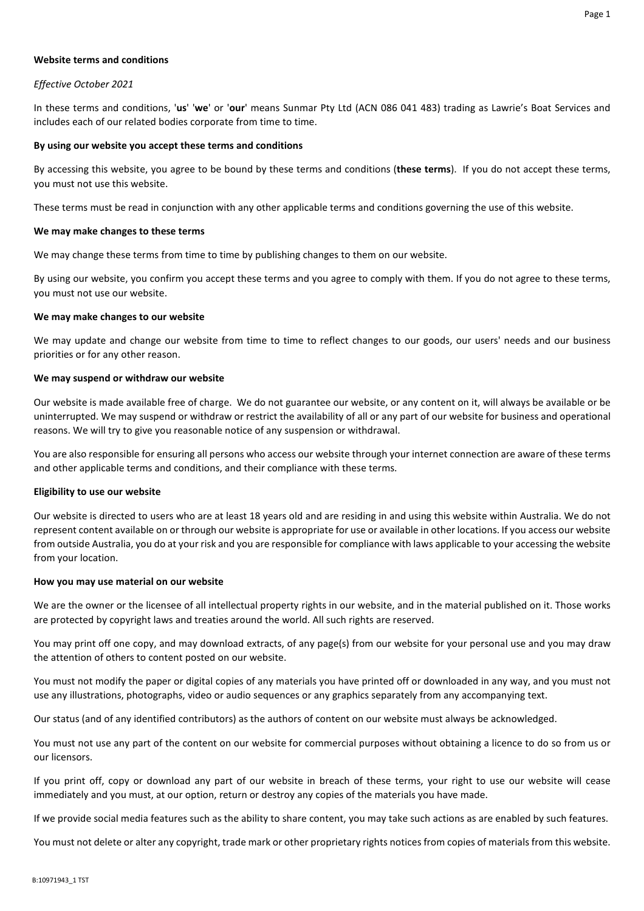## **Website terms and conditions**

## *Effective October 2021*

In these terms and conditions, '**us**' '**we**' or '**our**' means Sunmar Pty Ltd (ACN 086 041 483) trading as Lawrie's Boat Services and includes each of our related bodies corporate from time to time.

## **By using our website you accept these terms and conditions**

By accessing this website, you agree to be bound by these terms and conditions (**these terms**). If you do not accept these terms, you must not use this website.

These terms must be read in conjunction with any other applicable terms and conditions governing the use of this website.

## **We may make changes to these terms**

We may change these terms from time to time by publishing changes to them on our website.

By using our website, you confirm you accept these terms and you agree to comply with them. If you do not agree to these terms, you must not use our website.

## **We may make changes to our website**

We may update and change our website from time to time to reflect changes to our goods, our users' needs and our business priorities or for any other reason.

## **We may suspend or withdraw our website**

Our website is made available free of charge. We do not guarantee our website, or any content on it, will always be available or be uninterrupted. We may suspend or withdraw or restrict the availability of all or any part of our website for business and operational reasons. We will try to give you reasonable notice of any suspension or withdrawal.

You are also responsible for ensuring all persons who access our website through your internet connection are aware of these terms and other applicable terms and conditions, and their compliance with these terms.

## **Eligibility to use our website**

Our website is directed to users who are at least 18 years old and are residing in and using this website within Australia. We do not represent content available on or through our website is appropriate for use or available in other locations. If you access our website from outside Australia, you do at your risk and you are responsible for compliance with laws applicable to your accessing the website from your location.

## **How you may use material on our website**

We are the owner or the licensee of all intellectual property rights in our website, and in the material published on it. Those works are protected by copyright laws and treaties around the world. All such rights are reserved.

You may print off one copy, and may download extracts, of any page(s) from our website for your personal use and you may draw the attention of others to content posted on our website.

You must not modify the paper or digital copies of any materials you have printed off or downloaded in any way, and you must not use any illustrations, photographs, video or audio sequences or any graphics separately from any accompanying text.

Our status (and of any identified contributors) as the authors of content on our website must always be acknowledged.

You must not use any part of the content on our website for commercial purposes without obtaining a licence to do so from us or our licensors.

If you print off, copy or download any part of our website in breach of these terms, your right to use our website will cease immediately and you must, at our option, return or destroy any copies of the materials you have made.

If we provide social media features such as the ability to share content, you may take such actions as are enabled by such features.

You must not delete or alter any copyright, trade mark or other proprietary rights notices from copies of materials from this website.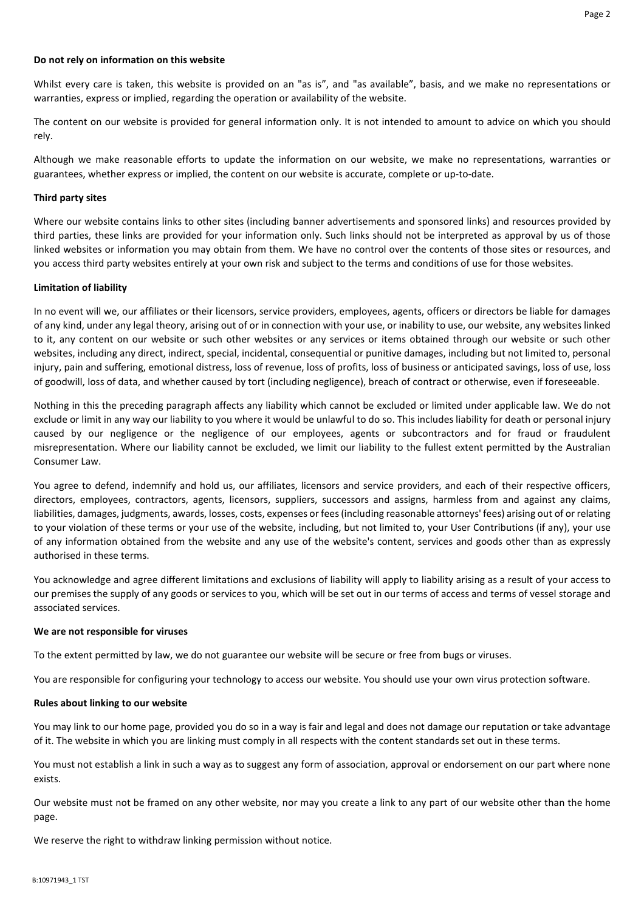### **Do not rely on information on this website**

Whilst every care is taken, this website is provided on an "as is", and "as available", basis, and we make no representations or warranties, express or implied, regarding the operation or availability of the website.

The content on our website is provided for general information only. It is not intended to amount to advice on which you should rely.

Although we make reasonable efforts to update the information on our website, we make no representations, warranties or guarantees, whether express or implied, the content on our website is accurate, complete or up-to-date.

#### **Third party sites**

Where our website contains links to other sites (including banner advertisements and sponsored links) and resources provided by third parties, these links are provided for your information only. Such links should not be interpreted as approval by us of those linked websites or information you may obtain from them. We have no control over the contents of those sites or resources, and you access third party websites entirely at your own risk and subject to the terms and conditions of use for those websites.

#### **Limitation of liability**

In no event will we, our affiliates or their licensors, service providers, employees, agents, officers or directors be liable for damages of any kind, under any legal theory, arising out of or in connection with your use, or inability to use, our website, any websites linked to it, any content on our website or such other websites or any services or items obtained through our website or such other websites, including any direct, indirect, special, incidental, consequential or punitive damages, including but not limited to, personal injury, pain and suffering, emotional distress, loss of revenue, loss of profits, loss of business or anticipated savings, loss of use, loss of goodwill, loss of data, and whether caused by tort (including negligence), breach of contract or otherwise, even if foreseeable.

Nothing in this the preceding paragraph affects any liability which cannot be excluded or limited under applicable law. We do not exclude or limit in any way our liability to you where it would be unlawful to do so. This includes liability for death or personal injury caused by our negligence or the negligence of our employees, agents or subcontractors and for fraud or fraudulent misrepresentation. Where our liability cannot be excluded, we limit our liability to the fullest extent permitted by the Australian Consumer Law.

You agree to defend, indemnify and hold us, our affiliates, licensors and service providers, and each of their respective officers, directors, employees, contractors, agents, licensors, suppliers, successors and assigns, harmless from and against any claims, liabilities, damages, judgments, awards, losses, costs, expenses or fees (including reasonable attorneys' fees) arising out of or relating to your violation of these terms or your use of the website, including, but not limited to, your User Contributions (if any), your use of any information obtained from the website and any use of the website's content, services and goods other than as expressly authorised in these terms.

You acknowledge and agree different limitations and exclusions of liability will apply to liability arising as a result of your access to our premises the supply of any goods or services to you, which will be set out in our terms of access and terms of vessel storage and associated services.

#### **We are not responsible for viruses**

To the extent permitted by law, we do not guarantee our website will be secure or free from bugs or viruses.

You are responsible for configuring your technology to access our website. You should use your own virus protection software.

### **Rules about linking to our website**

You may link to our home page, provided you do so in a way is fair and legal and does not damage our reputation or take advantage of it. The website in which you are linking must comply in all respects with the content standards set out in these terms.

You must not establish a link in such a way as to suggest any form of association, approval or endorsement on our part where none exists.

Our website must not be framed on any other website, nor may you create a link to any part of our website other than the home page.

We reserve the right to withdraw linking permission without notice.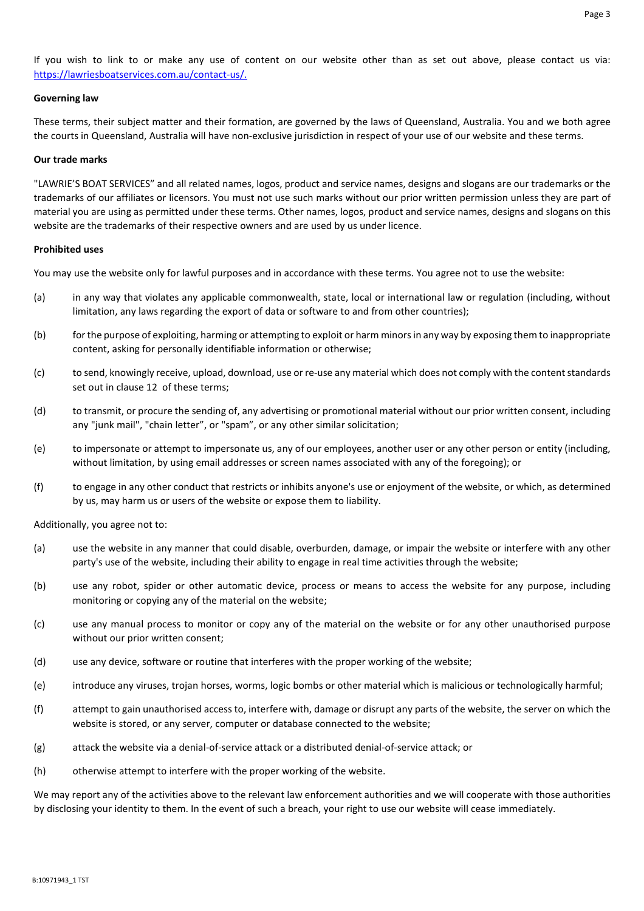If you wish to link to or make any use of content on our website other than as set out above, please contact us via: https://lawriesboatservices.com.au/contact-us/.

## **Governing law**

These terms, their subject matter and their formation, are governed by the laws of Queensland, Australia. You and we both agree the courts in Queensland, Australia will have non-exclusive jurisdiction in respect of your use of our website and these terms.

## **Our trade marks**

"LAWRIE'S BOAT SERVICES" and all related names, logos, product and service names, designs and slogans are our trademarks or the trademarks of our affiliates or licensors. You must not use such marks without our prior written permission unless they are part of material you are using as permitted under these terms. Other names, logos, product and service names, designs and slogans on this website are the trademarks of their respective owners and are used by us under licence.

## **Prohibited uses**

You may use the website only for lawful purposes and in accordance with these terms. You agree not to use the website:

- (a) in any way that violates any applicable commonwealth, state, local or international law or regulation (including, without limitation, any laws regarding the export of data or software to and from other countries);
- (b) for the purpose of exploiting, harming or attempting to exploit or harm minors in any way by exposing them to inappropriate content, asking for personally identifiable information or otherwise;
- (c) to send, knowingly receive, upload, download, use or re-use any material which does not comply with the content standards set out in clause 12 of these terms;
- (d) to transmit, or procure the sending of, any advertising or promotional material without our prior written consent, including any "junk mail", "chain letter", or "spam", or any other similar solicitation;
- (e) to impersonate or attempt to impersonate us, any of our employees, another user or any other person or entity (including, without limitation, by using email addresses or screen names associated with any of the foregoing); or
- (f) to engage in any other conduct that restricts or inhibits anyone's use or enjoyment of the website, or which, as determined by us, may harm us or users of the website or expose them to liability.

Additionally, you agree not to:

- (a) use the website in any manner that could disable, overburden, damage, or impair the website or interfere with any other party's use of the website, including their ability to engage in real time activities through the website;
- (b) use any robot, spider or other automatic device, process or means to access the website for any purpose, including monitoring or copying any of the material on the website;
- (c) use any manual process to monitor or copy any of the material on the website or for any other unauthorised purpose without our prior written consent;
- (d) use any device, software or routine that interferes with the proper working of the website;
- (e) introduce any viruses, trojan horses, worms, logic bombs or other material which is malicious or technologically harmful;
- (f) attempt to gain unauthorised access to, interfere with, damage or disrupt any parts of the website, the server on which the website is stored, or any server, computer or database connected to the website;
- (g) attack the website via a denial-of-service attack or a distributed denial-of-service attack; or
- (h) otherwise attempt to interfere with the proper working of the website.

We may report any of the activities above to the relevant law enforcement authorities and we will cooperate with those authorities by disclosing your identity to them. In the event of such a breach, your right to use our website will cease immediately.